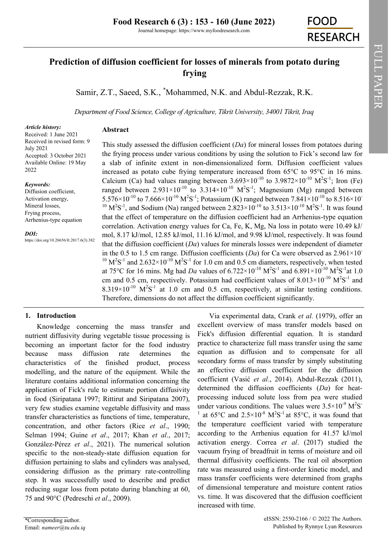FULL PAPER

FULL PAPER

# **Prediction of diffusion coefficient for losses of minerals from potato during frying**

Samir, Z.T., Saeed, S.K., \*Mohammed, N.K. and Abdul-Rezzak, R.K.

*Department of Food Science, College of Agriculture, Tikrit University, 34001 Tikrit, Iraq*

1

#### *Article history:*

**Abstract**

Received: 1 June 2021 Received in revised form: 9 July 2021 Accepted: 3 October 2021 Available Online: 19 May 2022

#### *Keywords:*

Diffusion coefficient, Activation energy, Mineral losses, Frying process, Arrhenius-type equation

#### *DOI:*

https://doi.org/10.26656/fr.2017.6(3).382

This study assessed the diffusion coefficient (*Da*) for mineral losses from potatoes during the frying process under various conditions by using the solution to Fick's second law for a slab of infinite extent in non-dimensionalized form. Diffusion coefficient values increased as potato cube frying temperature increased from 65°C to 95°C in 16 mins. Calcium (Ca) had values ranging between  $3.693 \times 10^{-10}$  to  $3.9872 \times 10^{-10}$  M<sup>2</sup>S<sup>-1</sup>; Iron (Fe) ranged between  $2.931 \times 10^{-10}$  to  $3.314 \times 10^{-10}$   $M^2S^{-1}$ ; Magnesium (Mg) ranged between 5.576×10<sup>-10</sup> to 7.666×10<sup>-10</sup> M<sup>2</sup>S<sup>-1</sup>; Potassium (K) ranged between 7.841×10<sup>-10</sup> to 8.516×10<sup>-1</sup> <sup>10</sup> M<sup>2</sup>S<sup>-1</sup>, and Sodium (Na) ranged between 2.823×10<sup>-10</sup> to 3.513×10<sup>-10</sup> M<sup>2</sup>S<sup>-1</sup>. It was found that the effect of temperature on the diffusion coefficient had an Arrhenius-type equation correlation. Activation energy values for Ca, Fe, K, Mg, Na loss in potato were 10.49 kJ/ mol, 8.17 kJ/mol, 12.85 kJ/mol, 11.16 kJ/mol, and 9.98 kJ/mol, respectively. It was found that the diffusion coefficient (*Da*) values for minerals losses were independent of diameter in the 0.5 to 1.5 cm range. Diffusion coefficients  $(Da)$  for Ca were observed as  $2.961 \times 10^{-7}$ <sup>10</sup>  $M<sup>2</sup>S<sup>-1</sup>$  and 2.632×10<sup>-10</sup>  $M<sup>2</sup>S<sup>-1</sup>$  for 1.0 cm and 0.5 cm diameters, respectively, when tested at 75<sup>o</sup>C for 16 mins. Mg had *Da* values of  $6.722 \times 10^{-10} \text{ M}^2\text{S}^{-1}$  and  $6.891 \times 10^{-10} \text{ M}^2\text{S}^{-1}$ at 1.0 cm and 0.5 cm, respectively. Potassium had coefficient values of  $8.013 \times 10^{-10}$  M<sup>2</sup>S<sup>-1</sup> and  $8.319 \times 10^{-10}$  M<sup>2</sup>S<sup>-1</sup> at 1.0 cm and 0.5 cm, respectively, at similar testing conditions. Therefore, dimensions do not affect the diffusion coefficient significantly.

# **1. Introduction**

Knowledge concerning the mass transfer and nutrient diffusivity during vegetable tissue processing is becoming an important factor for the food industry because mass diffusion rate determines the characteristics of the finished product, process modelling, and the nature of the equipment. While the literature contains additional information concerning the application of Fick's rule to estimate portion diffusivity in food (Siripatana 1997; Rittirut and Siripatana 2007), very few studies examine vegetable diffusivity and mass transfer characteristics as functions of time, temperature, concentration, and other factors (Rice *et al*., 1990; Selman 1994; Guine *et al*., 2017; Khan *et al*., 2017; González-Pérez *et al*., 2021). The numerical solution specific to the non-steady-state diffusion equation for diffusion pertaining to slabs and cylinders was analysed, considering diffusion as the primary rate-controlling step. It was successfully used to describe and predict reducing sugar loss from potato during blanching at 60, 75 and 90°C (Pedreschi *et al*., 2009).

eISSN: 2550-2166 / © 2022 The Authors. Fick's diffusion differential equation. It is standard practice to characterize full mass transfer using the same equation as diffusion and to compensate for all secondary forms of mass transfer by simply substituting an effective diffusion coefficient for the diffusion coefficient (Vasić *et al*., 2014). Abdul-Rezzak (2011), determined the diffusion coefficients (*Da*) for heatprocessing induced solute loss from pea were studied under various conditions. The values were  $3.5 \times 10^{-9}$  M<sup>2</sup>S<sup>-</sup> at  $65^{\circ}$ C and  $2.5 \times 10^{-8}$  M<sup>2</sup>S<sup>-1</sup> at 85<sup>o</sup>C, it was found that the temperature coefficient varied with temperature according to the Arrhenius equation for 41.57 kJ/mol activation energy. Correa *et al*. (2017) studied the vacuum frying of breadfruit in terms of moisture and oil thermal diffusivity coefficients. The real oil absorption rate was measured using a first-order kinetic model, and mass transfer coefficients were determined from graphs of dimensional temperature and moisture content ratios vs. time. It was discovered that the diffusion coefficient increased with time.

Via experimental data, Crank *et al.* (1979), offer an excellent overview of mass transfer models based on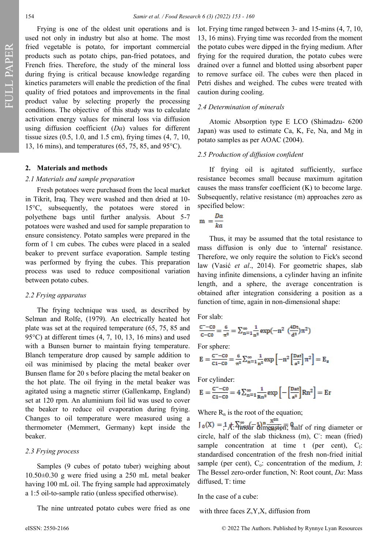FULL PAPER

Frying is one of the oldest unit operations and is used not only in industry but also at home. The most fried vegetable is potato, for important commercial products such as potato chips, pan-fried potatoes, and French fries. Therefore, the study of the mineral loss during frying is critical because knowledge regarding kinetics parameters will enable the prediction of the final quality of fried potatoes and improvements in the final product value by selecting properly the processing conditions. The objective of this study was to calculate activation energy values for mineral loss via diffusion using diffusion coefficient (*Da*) values for different tissue sizes (0.5, 1.0, and 1.5 cm), frying times (4, 7, 10, 13, 16 mins), and temperatures (65, 75, 85, and 95°C).

## **2. Materials and methods**

#### *2.1 Materials and sample preparation*

Fresh potatoes were purchased from the local market in Tikrit, Iraq. They were washed and then dried at 10- 15°C, subsequently, the potatoes were stored in polyethene bags until further analysis. About 5-7 potatoes were washed and used for sample preparation to ensure consistency. Potato samples were prepared in the form of 1 cm cubes. The cubes were placed in a sealed beaker to prevent surface evaporation. Sample testing was performed by frying the cubes. This preparation process was used to reduce compositional variation between potato cubes.

#### *2.2 Frying apparatus*

The frying technique was used, as described by Selman and Rolfe, (1979). An electrically heated hot plate was set at the required temperature (65, 75, 85 and 95 $\rm{°C}$ ) at different times (4, 7, 10, 13, 16 mins) and used with a Bunsen burner to maintain frying temperature. Blanch temperature drop caused by sample addition to oil was minimised by placing the metal beaker over Bunsen flame for 20 s before placing the metal beaker on the hot plate. The oil frying in the metal beaker was agitated using a magnetic stirrer (Gallenkamp, England) set at 120 rpm. An aluminium foil lid was used to cover the beaker to reduce oil evaporation during frying. Changes to oil temperature were measured using a thermometer (Memmert, Germany) kept inside the beaker.

## *2.3 Frying process*

Samples (9 cubes of potato tuber) weighing about 10.50±0.30 g were fried using a 250 mL metal beaker having 100 mL oil. The frying sample had approximately a 1:5 oil-to-sample ratio (unless specified otherwise).

The nine untreated potato cubes were fried as one

lot. Frying time ranged between 3- and 15-mins (4, 7, 10, 13, 16 mins). Frying time was recorded from the moment the potato cubes were dipped in the frying medium. After frying for the required duration, the potato cubes were drained over a funnel and blotted using absorbent paper to remove surface oil. The cubes were then placed in Petri dishes and weighed. The cubes were treated with caution during cooling.

#### *2.4 Determination of minerals*

Atomic Absorption type E LCO (Shimadzu- 6200 Japan) was used to estimate Ca, K, Fe, Na, and Mg in potato samples as per AOAC (2004).

#### *2.5 Production of diffusion confident*

If frying oil is agitated sufficiently, surface resistance becomes small because maximum agitation causes the mass transfer coefficient (K) to become large. Subsequently, relative resistance (m) approaches zero as specified below:

$$
m = \frac{Da}{ka}
$$

Thus, it may be assumed that the total resistance to mass diffusion is only due to 'internal' resistance. Therefore, we only require the solution to Fick's second law (Vasić *et al*., 2014). For geometric shapes, slab having infinite dimensions, a cylinder having an infinite length, and a sphere, the average concentration is obtained after integration considering a position as a function of time, again in non-dimensional shape:

For slab:

$$
\frac{C^+ - C0}{C - C0} = \frac{6}{\pi^2} = \sum_{n=1}^{\infty} \frac{1}{n^2} \exp(-n^2 \left(\frac{4Dt}{d^2}\right) \pi^2)
$$

For sphere:

$$
E = \frac{c^{2} - c_{0}}{c_{1} - c_{0}} = \frac{6}{\pi^{2}} \sum_{n=1}^{\infty} \frac{1}{n^{2}} exp\left[-n^{2} \left[\frac{D \alpha t}{a^{2}}\right] \pi^{2}\right] = E_{s}
$$

For cylinder:

$$
E = \frac{c^{2} - c_0}{c_1 - c_0} = 4 \sum_{n=1}^{\infty} \frac{1}{Rn^2} \exp\left[-\left[\frac{Dat}{a^2}\right] Rn^2\right] = Er
$$

Where  $R_n$  is the root of the equation;

 $J_0(X) = 1 \text{A}$ :  $\sum_{n=1}^{\infty} (1 - 1) \text{B} \frac{X^{2n}}{(n - 1)(1 - 1)}$  and  $\overline{n}$ ; half of ring diameter or circle, half of the slab thickness (m), C: mean (fried) sample concentration at time  $t$  (per cent),  $C_1$ : standardised concentration of the fresh non-fried initial sample (per cent),  $C_0$ : concentration of the medium, J: The Bessel zero-order function, N: Root count, *Da*: Mass diffused, T: time

In the case of a cube:

with three faces Z,Y,X, diffusion from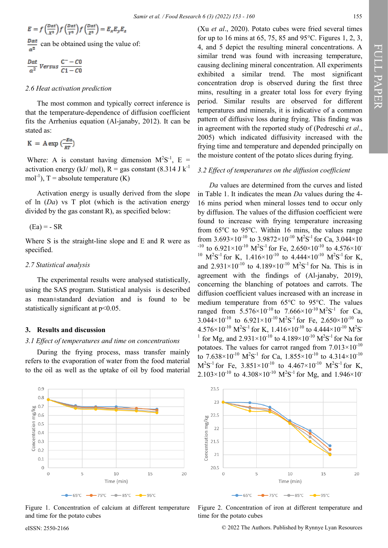$$
E = f\left(\frac{Dat}{X^2}\right) f\left(\frac{Dat}{Y^2}\right) f\left(\frac{Dat}{Z^2}\right) = E_x E_y E_z
$$

can be obtained using the value of:

$$
\frac{Dat}{a^2} \text{ Versus } \frac{C^- - C0}{C1 - C0}
$$

## *2.6 Heat activation prediction*

The most common and typically correct inference is that the temperature-dependence of diffusion coefficient fits the Arrhenius equation (Al-janaby, 2012). It can be stated as:

$$
K = A \exp \left(\frac{-Ea}{RT}\right)
$$

Where: A is constant having dimension  $M^2S^{-1}$ , E = activation energy (kJ/ mol),  $R = gas$  constant (8.314 J k<sup>-1</sup>)  $mol^{-1}$ ), T = absolute temperature (K)

Activation energy is usually derived from the slope of ln (*Da*) vs T plot (which is the activation energy divided by the gas constant R), as specified below:

 $(Ea) = - SR$ 

Where S is the straight-line slope and E and R were as specified.

## *2.7 Statistical analysis*

The experimental results were analysed statistically, using the SAS program. Statistical analysis is described as mean±standard deviation and is found to be statistically significant at p<0.05.

## **3. Results and discussion**

#### *3.1 Effect of temperatures and time on concentrations*

During the frying process, mass transfer mainly refers to the evaporation of water from the food material to the oil as well as the uptake of oil by food material (Xu *et al*., 2020). Potato cubes were fried several times for up to 16 mins at 65, 75, 85 and 95°C. Figures 1, 2, 3, 4, and 5 depict the resulting mineral concentrations. A similar trend was found with increasing temperature, causing declining mineral concentration. All experiments exhibited a similar trend. The most significant concentration drop is observed during the first three mins, resulting in a greater total loss for every frying period. Similar results are observed for different temperatures and minerals, it is indicative of a common pattern of diffusive loss during frying. This finding was in agreement with the reported study of (Pedreschi *et al*., 2005) which indicated diffusivity increased with the frying time and temperature and depended principally on the moisture content of the potato slices during frying.

#### *3.2 Effect of temperatures on the diffusion coefficient*

*Da* values are determined from the curves and listed in Table 1. It indicates the mean *Da* values during the 4- 16 mins period when mineral losses tend to occur only by diffusion. The values of the diffusion coefficient were found to increase with frying temperature increasing from  $65^{\circ}$ C to  $95^{\circ}$ C. Within 16 mins, the values range from  $3.693 \times 10^{-10}$  to  $3.9872 \times 10^{-10}$  M<sup>2</sup>S<sup>-1</sup> for Ca,  $3.044 \times 10$ <sup>-10</sup> to 6.921×10<sup>-10</sup> M<sup>2</sup>S<sup>-1</sup> for Fe, 2.650×10<sup>-10</sup> to 4.576×10<sup>-1</sup> <sup>10</sup> M<sup>2</sup>S<sup>-1</sup> for K, 1.416×10<sup>-10</sup> to 4.444×10<sup>-10</sup> M<sup>2</sup>S<sup>-1</sup> for K, and  $2.931 \times 10^{-10}$  to  $4.189 \times 10^{-10}$  M<sup>2</sup>S<sup>-1</sup> for Na. This is in agreement with the findings of (Al-janaby, 2019), concerning the blanching of potatoes and carrots. The diffusion coefficient values increased with an increase in medium temperature from 65°C to 95°C. The values ranged from  $5.576 \times 10^{-10}$  to  $7.666 \times 10^{-10}$  M<sup>2</sup>S<sup>-1</sup> for Ca,  $3.044 \times 10^{-10}$  to  $6.921 \times 10^{-10}$  M<sup>2</sup>S<sup>-1</sup> for Fe,  $2.650 \times 10^{-10}$  to  $4.576 \times 10^{-10} \text{ M}^2\text{S}^{-1}$  for K,  $1.416 \times 10^{-10}$  to  $4.444 \times 10^{-10} \text{ M}^2\text{S}^{-1}$ <sup>1</sup> for Mg, and  $2.931 \times 10^{-10}$  to  $4.189 \times 10^{-10}$  M<sup>2</sup>S<sup>-1</sup> for Na for potatoes. The values for carrot ranged from  $7.013\times10^{-10}$ to 7.638 $\times 10^{-10}$  M<sup>2</sup>S<sup>-1</sup> for Ca, 1.855 $\times 10^{-10}$  to 4.314 $\times 10^{-10}$  $M^2S^{-1}$  for Fe,  $3.851 \times 10^{-10}$  to  $4.467 \times 10^{-10}$   $M^2S^{-1}$  for K,  $2.103 \times 10^{10}$  to  $4.308 \times 10^{10}$  M<sup>2</sup>S<sup>-1</sup> for Mg, and  $1.946 \times 10^{10}$ 



Figure 1. Concentration of calcium at different temperature and time for the potato cubes



Figure 2. Concentration of iron at different temperature and time for the potato cubes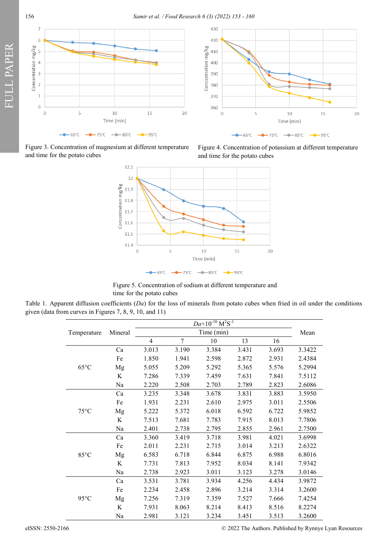156 *Samir et al. / Food Research 6 (3) (2022) 153 - 160*



Figure 3. Concentration of magnesium at different temperature and time for the potato cubes

FULL PAPER





Figure 5. Concentration of sodium at different temperature and time for the potato cubes

Table 1. Apparent diffusion coefficients (*Da*) for the loss of minerals from potato cubes when fried in oil under the conditions given (data from curves in Figures 7, 8, 9, 10, and 11)

| Temperature    | Mineral |                | Mean   |       |       |       |        |
|----------------|---------|----------------|--------|-------|-------|-------|--------|
|                |         |                |        |       |       |       |        |
|                |         | $\overline{4}$ | $\tau$ | 10    | 13    | 16    |        |
| $65^{\circ}$ C | Ca      | 3.013          | 3.190  | 3.384 | 3.431 | 3.693 | 3.3422 |
|                | Fe      | 1.850          | 1.941  | 2.598 | 2.872 | 2.931 | 2.4384 |
|                | Mg      | 5.055          | 5.209  | 5.292 | 5.365 | 5.576 | 5.2994 |
|                | K       | 7.286          | 7.339  | 7.459 | 7.631 | 7.841 | 7.5112 |
|                | Na      | 2.220          | 2.508  | 2.703 | 2.789 | 2.823 | 2.6086 |
| $75^{\circ}$ C | Ca      | 3.235          | 3.348  | 3.678 | 3.831 | 3.883 | 3.5950 |
|                | Fe      | 1.931          | 2.231  | 2.610 | 2.975 | 3.011 | 2.5506 |
|                | Mg      | 5.222          | 5.372  | 6.018 | 6.592 | 6.722 | 5.9852 |
|                | K       | 7.513          | 7.681  | 7.783 | 7.915 | 8.013 | 7.7806 |
|                | Na      | 2.401          | 2.738  | 2.795 | 2.855 | 2.961 | 2.7500 |
| 85°C           | Ca      | 3.360          | 3.419  | 3.718 | 3.981 | 4.021 | 3.6998 |
|                | Fe      | 2.011          | 2.231  | 2.715 | 3.014 | 3.213 | 2.6322 |
|                | Mg      | 6.583          | 6.718  | 6.844 | 6.875 | 6.988 | 6.8016 |
|                | K       | 7.731          | 7.813  | 7.952 | 8.034 | 8.141 | 7.9342 |
|                | Na      | 2.738          | 2.923  | 3.011 | 3.123 | 3.278 | 3.0146 |
| $95^{\circ}$ C | Ca      | 3.531          | 3.781  | 3.934 | 4.256 | 4.434 | 3.9872 |
|                | Fe      | 2.234          | 2.458  | 2.896 | 3.214 | 3.314 | 3.2600 |
|                | Mg      | 7.256          | 7.319  | 7.359 | 7.527 | 7.666 | 7.4254 |
|                | K       | 7.931          | 8.063  | 8.214 | 8.413 | 8.516 | 8.2274 |
|                | Na      | 2.981          | 3.121  | 3.234 | 3.451 | 3.513 | 3.2600 |

eISSN: 2550-2166 © 2022 The Authors. Published by Rynnye Lyan Resources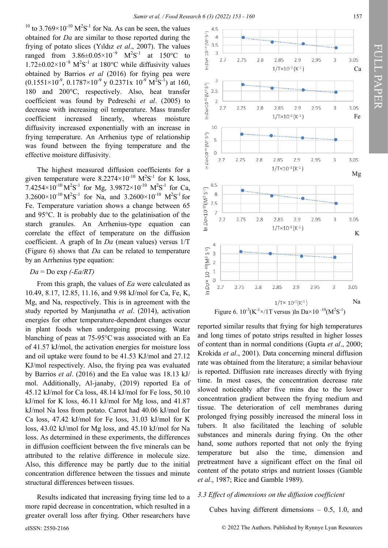$4.5$ 

 $\overline{4}$ 

<sup>10</sup> to 3.769 $\times$ 10<sup>-10</sup> M<sup>2</sup>S<sup>-1</sup> for Na. As can be seen, the values obtained for *Da* are similar to those reported during the frying of potato slices (Yıldız *et al*., 2007). The values ranged from  $3.86 \pm 0.05 \times 10^{-9}$  M<sup>2</sup>S<sup>-1</sup> at 150°C to 1.72±0.02×10<sup>-8</sup> M<sup>2</sup>S<sup>-1</sup> at 180°C while diffusivity values obtained by Barrios *et al* (2016) for frying pea were  $(0.1551\times10^{-9}, 0.1787\times10^{-9} \text{ y } 0.2371 \text{ x } 10^{-9} \text{ M}^2\text{S}^{-1})$  at 160, 180 and 200°C, respectively. Also, heat transfer coefficient was found by Pedreschi *et al*. (2005) to decrease with increasing oil temperature. Mass transfer coefficient increased linearly, whereas moisture diffusivity increased exponentially with an increase in frying temperature. An Arrhenius type of relationship was found between the frying temperature and the effective moisture diffusivity.

The highest measured diffusion coefficients for a given temperature were  $8.2274 \times 10^{-10} \text{ M}^2\text{S}^{-1}$  for K loss, 7.4254×10<sup>-10</sup> M<sup>2</sup>S<sup>-1</sup> for Mg, 3.9872×10<sup>-10</sup> M<sup>2</sup>S<sup>-1</sup> for Ca,  $3.2600 \times 10^{-10} \text{M}^2\text{S}^{-1}$  for Na, and  $3.2600 \times 10^{-10} \text{M}^2\text{S}^{-1}$  for Fe. Temperature variation shows a change between 65 and 95°C. It is probably due to the gelatinisation of the starch granules. An Arrhenius-type equation can correlate the effect of temperature on the diffusion coefficient. A graph of In *Da* (mean values) versus 1/T (Figure 6) shows that *Da* can be related to temperature by an Arrhenius type equation:

#### *Da* = Do exp *(-Ea/RT)*

From this graph, the values of *Ea* were calculated as 10.49, 8.17, 12.85, 11.16, and 9.98 kJ/mol for Ca, Fe, K, Mg, and Na, respectively. This is in agreement with the study reported by Manjunatha *et al*. (2014), activation energies for other temperature-dependent changes occur in plant foods when undergoing processing. Water blanching of peas at 75-95°C was associated with an Ea of 41.57 kJ/mol, the activation energies for moisture loss and oil uptake were found to be 41.53 KJ/mol and 27.12 KJ/mol respectively. Also, the frying pea was evaluated by Barrios *et al*. (2016) and the Ea value was 18.13 kJ/ mol. Additionally, Al-janaby, (2019) reported Ea of 45.12 kJ/mol for Ca loss, 48.14 kJ/mol for Fe loss, 50.10 kJ/mol for K loss, 46.11 kJ/mol for Mg loss, and 41.87 kJ/mol Na loss from potato. Carrot had 40.06 kJ/mol for Ca loss, 47.42 kJ/mol for Fe loss, 31.03 kJ/mol for K loss, 43.02 kJ/mol for Mg loss, and 45.10 kJ/mol for Na loss. As determined in these experiments, the differences in diffusion coefficient between the five minerals can be attributed to the relative difference in molecule size. Also, this difference may be partly due to the initial concentration difference between the tissues and minute structural differences between tissues.

Results indicated that increasing frying time led to a more rapid decrease in concentration, which resulted in a greater overall loss after frying. Other researchers have



Figure 6.  $10^{-3}$ (K<sup>-1</sup>×/1T versus )ln Da×10<sup>-10</sup>(M<sup>2</sup>S<sup>-1</sup>)

reported similar results that frying for high temperatures and long times of potato strips resulted in higher losses of content than in normal conditions (Gupta *et al*., 2000; Krokida *et al*., 2001). Data concerning mineral diffusion rate was obtained from the literature; a similar behaviour is reported. Diffusion rate increases directly with frying time. In most cases, the concentration decrease rate slowed noticeably after five mins due to the lower concentration gradient between the frying medium and tissue. The deterioration of cell membranes during prolonged frying possibly increased the mineral loss in tubers. It also facilitated the leaching of soluble substances and minerals during frying. On the other hand, some authors reported that not only the frying temperature but also the time, dimension and pretreatment have a significant effect on the final oil content of the potato strips and nutrient losses (Gamble *et al*., 1987; Rice and Gamble 1989).

## *3.3 Effect of dimensions on the diffusion coefficient*

Cubes having different dimensions – 0.5, 1.0, and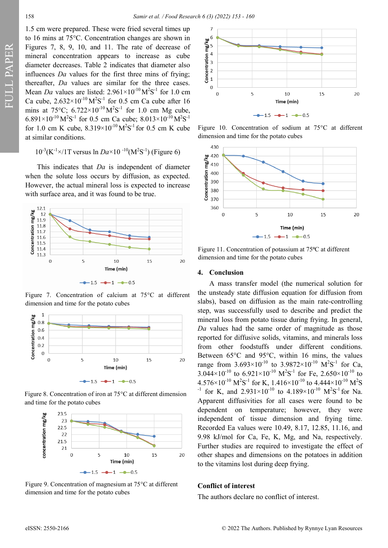1.5 cm were prepared. These were fried several times up to 16 mins at 75°C. Concentration changes are shown in Figures 7, 8, 9, 10, and 11. The rate of decrease of mineral concentration appears to increase as cube diameter decreases. Table 2 indicates that diameter also influences *Da* values for the first three mins of frying; thereafter, *Da* values are similar for the three cases. Mean *Da* values are listed:  $2.961 \times 10^{-10} \text{M}^2\text{S}^{-1}$  for 1.0 cm Ca cube,  $2.632 \times 10^{-10} \text{M}^2\text{S}^{-1}$  for 0.5 cm Ca cube after 16 mins at 75°C;  $6.722 \times 10^{-10} \text{M}^2\text{S}^{-1}$  for 1.0 cm Mg cube,  $6.891 \times 10^{-10} \,\mathrm{M}^2\mathrm{S}^{-1}$  for 0.5 cm Ca cube;  $8.013 \times 10^{-10} \,\mathrm{M}^2\mathrm{S}^{-1}$ for 1.0 cm K cube,  $8.319 \times 10^{-10} \text{M}^2\text{S}^{-1}$  for 0.5 cm K cube at similar conditions.

$$
10^{-3}(K^{-1} \times /1T \text{ versus } \ln Da \times 10^{-10}(M^2S^{-1}) \text{ (Figure 6)}
$$

This indicates that *Da* is independent of diameter when the solute loss occurs by diffusion, as expected. However, the actual mineral loss is expected to increase



Figure 7. Concentration of calcium at 75°C at different dimension and time for the potato cubes



Figure 8. Concentration of iron at 75°C at different dimension and time for the potato cubes



Figure 9. Concentration of magnesium at 75°C at different dimension and time for the potato cubes



Figure 10. Concentration of sodium at 75°C at different dimension and time for the potato cubes



Figure 11. Concentration of potassium at 75°C at different dimension and time for the potato cubes

#### **4. Conclusion**

A mass transfer model (the numerical solution for the unsteady state diffusion equation for diffusion from slabs), based on diffusion as the main rate-controlling step, was successfully used to describe and predict the mineral loss from potato tissue during frying. In general, *Da* values had the same order of magnitude as those reported for diffusive solids, vitamins, and minerals loss from other foodstuffs under different conditions. Between 65°C and 95°C, within 16 mins, the values range from  $3.693 \times 10^{-10}$  to  $3.9872 \times 10^{-10}$  M<sup>2</sup>S<sup>-1</sup> for Ca, 3.044×10<sup>-10</sup> to 6.921×10<sup>-10</sup> M<sup>2</sup>S<sup>-1</sup> for Fe, 2.650×10<sup>-10</sup> to  $4.576\times10^{-10}~\mathrm{M}^{2}\mathrm{S}^{1}$  for K,  $1.416\times10^{-10}$  to  $4.444\times10^{-10}~\mathrm{M}^{2}\mathrm{S}$ <sup>-1</sup> for K, and  $2.931 \times 10^{-10}$  to  $4.189 \times 10^{-10}$  M<sup>2</sup>S<sup>-1</sup> for Na. Apparent diffusivities for all cases were found to be dependent on temperature; however, they were independent of tissue dimension and frying time. Recorded Ea values were 10.49, 8.17, 12.85, 11.16, and 9.98 kJ/mol for Ca, Fe, K, Mg, and Na, respectively. Further studies are required to investigate the effect of other shapes and dimensions on the potatoes in addition to the vitamins lost during deep frying.

## **Conflict of interest**

The authors declare no conflict of interest.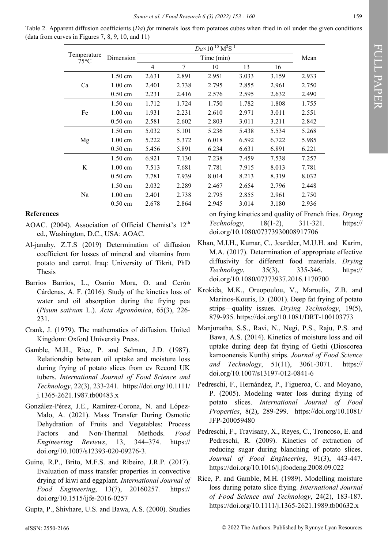Table 2. Apparent diffusion coefficients (*Da*) *f*or minerals loss from potatoes cubes when fried in oil under the given conditions (data from curves in Figures 7, 8, 9, 10, and 11)

| Temperature<br>$75^{\circ}$ C | Dimension         | $Da \times 10^{-10} \text{ M}^2\text{S}^{-1}$ |       |       |       |       | Mean  |
|-------------------------------|-------------------|-----------------------------------------------|-------|-------|-------|-------|-------|
|                               |                   |                                               |       |       |       |       |       |
|                               |                   | 4                                             | 7     | 10    | 13    | 16    |       |
| Ca                            | $1.50 \text{ cm}$ | 2.631                                         | 2.891 | 2.951 | 3.033 | 3.159 | 2.933 |
|                               | $1.00 \text{ cm}$ | 2.401                                         | 2.738 | 2.795 | 2.855 | 2.961 | 2.750 |
|                               | $0.50 \text{ cm}$ | 2.231                                         | 2.416 | 2.576 | 2.595 | 2.632 | 2.490 |
| Fe                            | $1.50 \text{ cm}$ | 1.712                                         | 1.724 | 1.750 | 1.782 | 1.808 | 1.755 |
|                               | $1.00 \text{ cm}$ | 1.931                                         | 2.231 | 2.610 | 2.971 | 3.011 | 2.551 |
|                               | $0.50 \text{ cm}$ | 2.581                                         | 2.602 | 2.803 | 3.011 | 3.211 | 2.842 |
| Mg                            | $1.50 \text{ cm}$ | 5.032                                         | 5.101 | 5.236 | 5.438 | 5.534 | 5.268 |
|                               | $1.00 \text{ cm}$ | 5.222                                         | 5.372 | 6.018 | 6.592 | 6.722 | 5.985 |
|                               | $0.50 \text{ cm}$ | 5.456                                         | 5.891 | 6.234 | 6.631 | 6.891 | 6.221 |
| K                             | $1.50 \text{ cm}$ | 6.921                                         | 7.130 | 7.238 | 7.459 | 7.538 | 7.257 |
|                               | $1.00 \text{ cm}$ | 7.513                                         | 7.681 | 7.781 | 7.915 | 8.013 | 7.781 |
|                               | $0.50 \text{ cm}$ | 7.781                                         | 7.939 | 8.014 | 8.213 | 8.319 | 8.032 |
| Na                            | $1.50 \text{ cm}$ | 2.032                                         | 2.289 | 2.467 | 2.654 | 2.796 | 2.448 |
|                               | $1.00 \text{ cm}$ | 2.401                                         | 2.738 | 2.795 | 2.855 | 2.961 | 2.750 |
|                               | $0.50 \text{ cm}$ | 2.678                                         | 2.864 | 2.945 | 3.014 | 3.180 | 2.936 |

# **References**

- AOAC. (2004). Association of Official Chemist's  $12<sup>th</sup>$ ed., Washington, D.C., USA: AOAC.
- Al-janaby, Z.T.S (2019) Determination of diffusion coefficient for losses of mineral and vitamins from potato and carrot. Iraq: University of Tikrit, PhD Thesis
- Barrios Barrios, L., Osorio Mora, O. and Cerón Cárdenas, A. F. (2016). Study of the kinetics loss of water and oil absorption during the frying pea (*Pisum sativum* L.). *Acta Agronómica*, 65(3), 226- 231.
- Crank, J. (1979). The mathematics of diffusion. United Kingdom: Oxford University Press.
- Gamble, M.H., Rice, P. and Selman, J.D. (1987). Relationship between oil uptake and moisture loss during frying of potato slices from cv Record UK tubers. *International Journal of Food Science and Technology*, 22(3), 233-241. https://doi.org/10.1111/ j.1365-2621.1987.tb00483.x
- González-Pérez, J.E., Ramírez-Corona, N. and López-Malo, A. (2021). Mass Transfer During Osmotic Dehydration of Fruits and Vegetables: Process Factors and Non-Thermal Methods. *Food Engineering Reviews*, 13, 344–374. https:// doi.org/10.1007/s12393-020-09276-3.
- Guine, R.P., Brito, M.F.S. and Ribeiro, J.R.P. (2017). Evaluation of mass transfer properties in convective drying of kiwi and eggplant. *International Journal of Food Engineering*, 13(7), 20160257. https:// doi.org/10.1515/ijfe-2016-0257

Gupta, P., Shivhare, U.S. and Bawa, A.S. (2000). Studies

on frying kinetics and quality of French fries. *Drying Technology*, 18(1-2), 311-321. https:// doi.org/10.1080/07373930008917706

- Khan, M.I.H., Kumar, C., Joardder, M.U.H. and Karim, M.A. (2017). Determination of appropriate effective diffusivity for different food materials. *Drying Technology*, 35(3), 335-346. https:// doi.org/10.1080/07373937.2016.1170700
- Krokida, M.K., Oreopoulou, V., Maroulis, Z.B. and Marinos-Kouris, D. (2001). Deep fat frying of potato strips—quality issues. *Drying Technology*, 19(5), 879-935. https://doi.org/10.1081/DRT-100103773
- Manjunatha, S.S., Ravi, N., Negi, P.S., Raju, P.S. and Bawa, A.S. (2014). Kinetics of moisture loss and oil uptake during deep fat frying of Gethi (Dioscorea kamoonensis Kunth) strips. *Journal of Food Science and Technology*, 51(11), 3061-3071. https:// doi.org/10.1007/s13197-012-0841-6
- Pedreschi, F., Hernández, P., Figueroa, C. and Moyano, P. (2005). Modeling water loss during frying of potato slices. *International Journal of Food Properties*, 8(2), 289-299. https://doi.org/10.1081/ JFP-200059480
- Pedreschi, F., Travisany, X., Reyes, C., Troncoso, E. and Pedreschi, R. (2009). Kinetics of extraction of reducing sugar during blanching of potato slices. *Journal of Food Engineering*, 91(3), 443-447. https://doi.org/10.1016/j.jfoodeng.2008.09.022
- Rice, P. and Gamble, M.H. (1989). Modelling moisture loss during potato slice frying. *International Journal of Food Science and Technology*, 24(2), 183-187. https://doi.org/10.1111/j.1365-2621.1989.tb00632.x